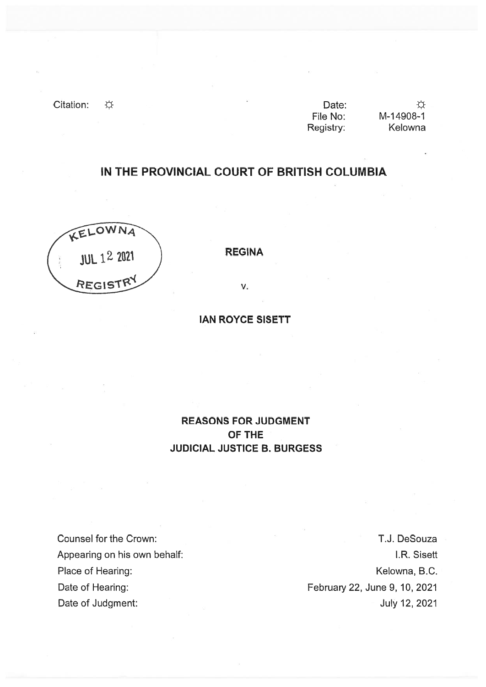Citation:  $\overleftrightarrow{\mathbf{x}}$ 

| Date:     |   |
|-----------|---|
| File No:  | N |
| Registry: |   |

☆ M-1 4908-1 Kelowna

# IN THE PROVINCIAL COURT OF BRITISH COLUMBIA



REGINA

V.

IAN ROYCE SISETT

## REASONS FOR JUDGMENT OF THE JUDICIAL JUSTICE B. BURGESS

Counsel for the Crown: Appearing on his own behalf: Place of Hearing: Date of Hearing: Date of Judgment:

T.J. DeSouza I.R. Sisett Kelowna, B.C. February 22, June 9, 10, 2021 July 12, 2021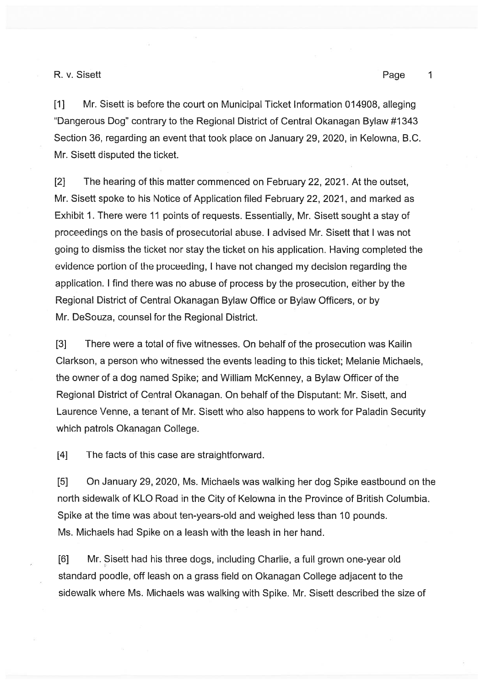$\mathbf{1}$ 

[1] Mr. Sisett is before the court on Municipal Ticket Information 014908, alleging "Dangerous Dog" contrary to the Regional District of Central Okanagan Bylaw #1343 Section 36, regarding an event that took place on January 29, 2020, in Kelowna, B.C. Mr. Sisett disputed the ticket.

[2] The hearing of this matter commenced on February 22, 2021. At the outset, Mr. Sisett spoke to his Notice of Application filed February 22, 2021, and marked as Exhibit 1. There were 11 points of requests. Essentially, Mr. Sisett sought <sup>a</sup> stay of proceedings on the basis of prosecutorial abuse. I advised Mr. Sisett that I was not going to dismiss the ticket nor stay the ticket on his application. Having completed the evidence portion oF the proceeding, <sup>I</sup> have not changed my decision regarding the application. I find there was no abuse of process by the prosecution, either by the Regional District of Central Okanagan Bylaw Office or Bylaw Officers, or by Mr. DeSouza, counsel for the Regional District.

[3] There were <sup>a</sup> total of five witnesses. On behalf of the prosecution was Kailin Clarkson, <sup>a</sup> person who witnessed the events leading to this ticket; Melanie Michaels, the owner of <sup>a</sup> dog named Spike; and William McKenney, <sup>a</sup> Bylaw Officer of the Regional District of Central Okanagan. On behalf of the Disputant: Mr. Sisett, and Laurence Venne, <sup>a</sup> tenant of Mr. Sisett who also happens to work for Paladin Security which patrols Okanagan College.

[4] The facts of this case are straightforward.

[5] On January 29, 2020, Ms. Michaels was walking her dog Spike eastbound on the north sidewalk of KLO Road in the City of Kelowna in the Province of British Columbia. Spike at the time was about ten-years-old and weighed less than 10 pounds. Ms. Michaels had Spike on <sup>a</sup> leash with the leash in her hand.

[6] Mr. Sisett had his three dogs, including Charlie, <sup>a</sup> full grown one-year old standard poodle, off leash on <sup>a</sup> grass field on Okanagan College adjacent to the sidewalk where Ms. Michaels was walking with Spike. Mr. Sisett described the size of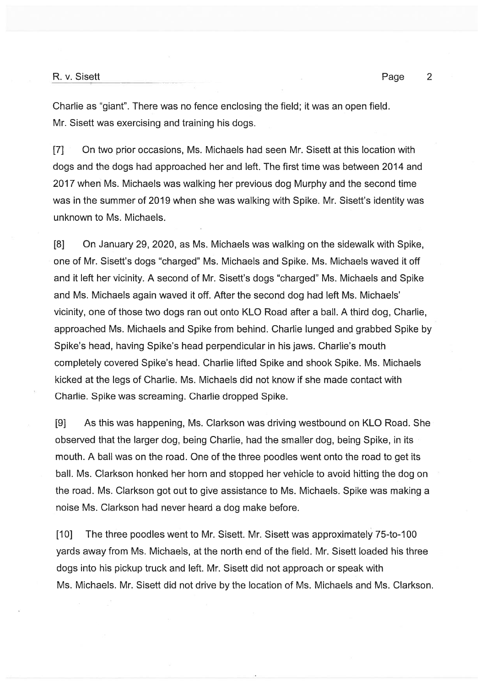## R. v. Sisett $\qquad \qquad \qquad$  2

Charlie as "giant". There was no fence enclosing the field; it was an open field. Mr. Sisett was exercising and training his dogs.

[7] On two prior occasions, Ms. Michaels had seen Mr. Sisett at this location with dogs and the dogs had approached her and left. The first time was between 2014 and 2017 when Ms. Michaels was walking her previous dog Murphy and the second time was in the summer of 2019 when she was walking with Spike. Mr. Sisett's identity was unknown to Ms. Michaels.

[8] On January 29, 2020, as Ms. Michaels was walking on the sidewalk with Spike, one of Mr. Sisett's dogs "charged" Ms. Michaels and Spike. Ms. Michaels waved it off and it left her vicinity. A second of Mr. Sisett's dogs "charged" Ms. Michaels and Spike and Ms. Michaels again waved it off. After the second dog had left Ms. Michaels' vicinity, one of those two dogs ran out onto KLO Road after <sup>a</sup> ball. A third dog, Charlie, approached Ms. Michaels and Spike from behind. Charlie lunged and grabbed Spike by Spike's head, having Spike's head perpendicular in his jaws. Charlie's mouth completely covered Spike's head. Charlie lifted Spike and shook Spike. Ms. Michaels kicked at the legs of Charlie. Ms. Michaels did not know if she made contact with Charlie. Spike was screaming. Charlie dropped Spike.

[9] As this was happening, Ms. Clarkson was driving westbound on KLO Road. She observed that the larger dog, being Charlie, had the smaller dog, being Spike, in its mouth. A ball was on the road. One of the three poodles went onto the road to ge<sup>t</sup> its ball. Ms. Clarkson honked her horn and stopped her vehicle to avoid hitting the dog on the road. Ms. Clarkson go<sup>t</sup> out to give assistance to Ms. Michaels. Spike was making <sup>a</sup> noise Ms. Clarkson had never heard <sup>a</sup> dog make before.

[10] The three poodles went to Mr. Sisett. Mr. Sisett was approximately 75-to-100 yards away from Ms. Michaels, at the north end of the field. Mr. Sisett loaded his three dogs into his pickup truck and left. Mr. Sisett did not approach or speak with Ms. Michaels. Mr. Sisett did not drive by the location of Ms. Michaels and Ms. Clarkson.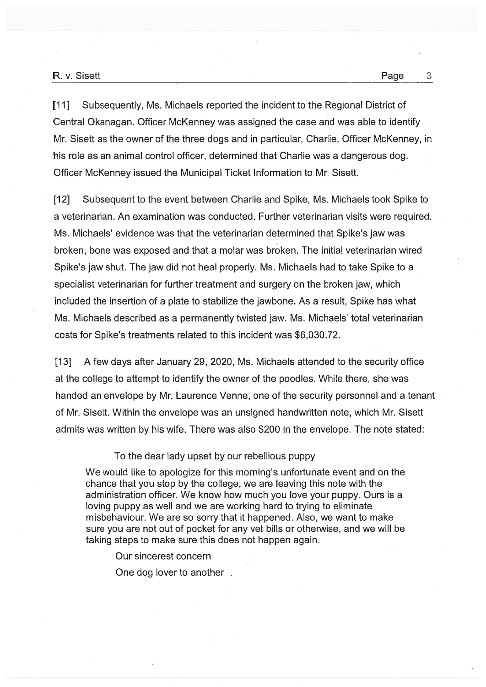[11] Subsequently, Ms. Michaels reported the incident to the Regional District of Central Okanagan. Officer McKenney was assigned the case and was able to identify Mr. Sisett as the owner of the three dogs and in particular, Charlie. Officer McKenney, in his role as an animal control officer, determined that Charlie was <sup>a</sup> dangerous dog. Officer McKenney issued the Municipal Ticket Information to Mr. Sisett.

[12] Subsequent to the event between Charlie and Spike, Ms. Michaels took Spike to <sup>a</sup> veterinarian. An examination was conducted. Further veterinarian visits were required. Ms. Michaels' evidence was that the veterinarian determined that Spike's jaw was broken, bone was exposed and that <sup>a</sup> molar was broken. The initial veterinarian wired Spike's jaw shut. The jaw did not heal properly. Ms. Michaels had to take Spike to <sup>a</sup> specialist veterinarian for further treatment and surgery on the broken jaw, which included the insertion of <sup>a</sup> plate to stabilize the jawbone. As <sup>a</sup> result, Spike has what Ms. Michaels described as <sup>a</sup> permanently twisted jaw. Ms. Michaels' total veterinarian costs for Spike's treatments related to this incident was \$6,030.72.

[13] A few days after January 29, 2020, Ms. Michaels attended to the security office at the college to attempt to identify the owner of the poodles. While there, she was handed an envelope by Mr. Laurence Venne, one of the security personnel and <sup>a</sup> tenant of Mr. Sisett. Within the envelope was an unsigned handwritten note, which Mr. Sisett admits was written by his wife. There was also \$200 in the envelope. The note stated:

## To the dear lady upse<sup>t</sup> by our rebellious puppy

We would like to apologize for this morning's unfortunate event and on the chance that you stop by the college, we are leaving this note with the administration officer. We know how much you love your puppy. Ours is <sup>a</sup> loving puppy as well and we are working hard to trying to eliminate misbehaviour. We are so sorry that it happened. Also, we want to make sure you are not out of pocket for any vet bills or otherwise, and we will be taking steps to make sure this does not happen again.

Our sincerest concern

One dog lover to another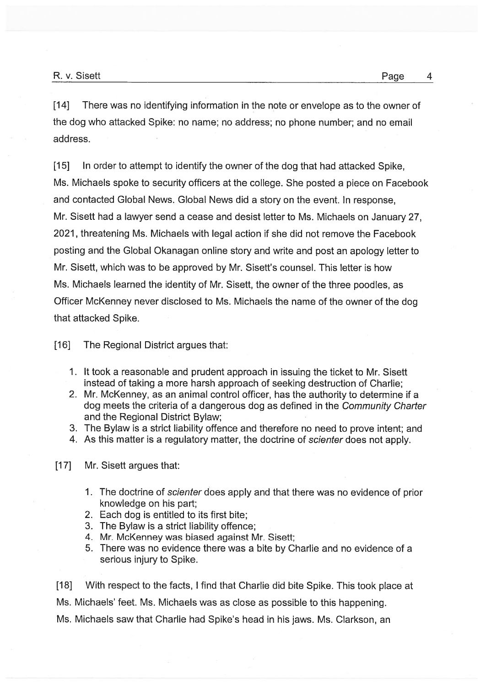[14] There was no identifying information in the note or envelope as to the owner of the dog who attacked Spike: no name; no address; no phone number; and no email address.

[15] In order to attempt to identify the owner of the dog that had attacked Spike, Ms. Michaels spoke to security officers at the college. She posted <sup>a</sup> piece on Facebook and contacted Global News. Global News did <sup>a</sup> story on the event. In response, Mr. Sisett had <sup>a</sup> lawyer send <sup>a</sup> cease and desist letter to Ms. Michaels on January 27, 2021, threatening Ms. Michaels with legal action if she did not remove the Facebook posting and the Global Okanagan online story and write and pos<sup>t</sup> an apology letter to Mr. Sisett, which was to be approved by Mr. Sisett's counsel. This letter is how Ms. Michaels learned the identity of Mr. Sisett, the owner of the three poodles, as Officer McKenney never disclosed to Ms. Michaels the name of the owner of the dog that attacked Spike.

[16] The Regional District argues that:

- 1. It took <sup>a</sup> reasonable and prudent approach in issuing the ticket to Mr. Sisett instead of taking <sup>a</sup> more harsh approach of seeking destruction of Charlie;
- 2. Mr. McKenney, as an animal control officer, has the authority to determine if <sup>a</sup> dog meets the criteria of <sup>a</sup> dangerous dog as defined in the Community Charter and the Regional District Bylaw;
- 3. The Bylaw is <sup>a</sup> strict liability offence and therefore no need to prove intent; and
- 4. As this matter is a regulatory matter, the doctrine of scienter does not apply.
- [17] Mr. Sisett argues that:
	- 1. The doctrine of *scienter* does apply and that there was no evidence of prior knowledge on his part;
	- 2. Each dog is entitled to its first bite;
	- 3. The Bylaw is <sup>a</sup> strict liability offence;
	- 4. Mr. McKenney was biased against Mr. Sisett;
	- 5. There was no evidence there was <sup>a</sup> bite by Charlie and no evidence of <sup>a</sup> serious injury to Spike.

[18] With respect to the facts, I find that Charlie did bite Spike. This took place at Ms. Michaels' feet. Ms. Michaels was as close as possible to this happening. Ms. Michaels saw that Charlie had Spike's head in his jaws. Ms. Ciarkson, an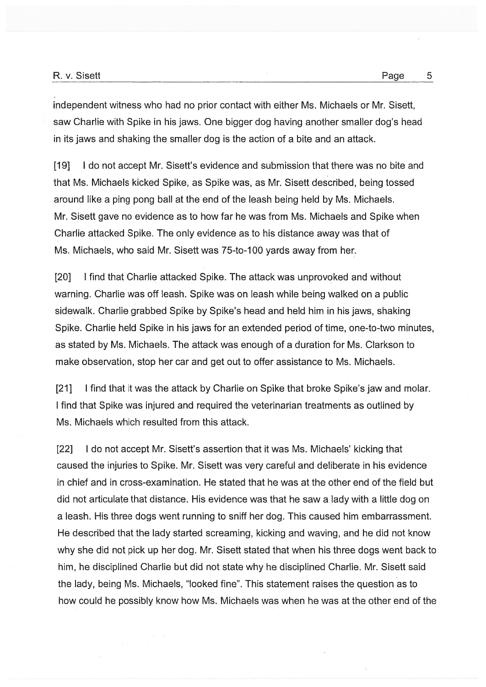independent witness who had no prior contact with either Ms. Michaels or Mr. Sisett, saw Charlie with Spike in his jaws. One bigger dog having another smaller dog's head in its jaws and shaking the smaller dog is the action of <sup>a</sup> bite and an attack.

[191 I do not accep<sup>t</sup> Mr. Sisett's evidence and submission that there was no bite and that Ms. Michaels kicked Spike, as Spike was, as Mr. Sisett described, being tossed around like <sup>a</sup> ping pong ball at the end of the leash being held by Ms. Michaels. Mr. Sisett gave no evidence as to how far he was from Ms. Michaels and Spike when Charlie attacked Spike. The only evidence asto his distance away was that of Ms. Michaels, who said Mr. Sisett was 75-to-100 yards away from her.

[20] I find that Charlie attacked Spike. The attack was unprovoked and without warning. Charlie was off leash. Spike was on leash while being walked on <sup>a</sup> public sidewalk. Charlie grabbed Spike by Spike's head and held him in his jaws, shaking Spike. Charlie held Spike in his jaws for an extended period of time, one-to-two minutes, as stated by Ms. Michaels. The attack was enough of <sup>a</sup> duration for Ms. Clarkson to make observation, stop her car and ge<sup>t</sup> out to offer assistance to Ms. Michaels.

[21] I find that it was the attack by Charlie on Spike that broke Spike's jaw and molar. I find that Spike was injured and required the veterinarian treatments as outlined by Ms. Michaels which resulted from this attack.

[22] I do not accep<sup>t</sup> Mr. Sisett's assertion that it was Ms. Michaels' kicking that caused the injuries to Spike. Mr. Sisett was very careful and deliberate in his evidence in chief and in cross-examination. He stated that he was at the other end of the field but did not articulate that distance. His evidence was that he saw <sup>a</sup> lady with <sup>a</sup> little dog on <sup>a</sup> leash. His three dogs went running to sniff her dog. This caused him embarrassment. He described that the lady started screaming, kicking and waving, and he did not know why she did not pick up her dog. Mr. Sisett stated that when his three dogs went back to him, he disciplined Charlie but did not state why he disciplined Charlie. Mr. Sisett said the lady, being Ms. Michaels, "looked fine". This statement raises the question as to how could he possibly know how Ms. Michaels was when he was at the other end of the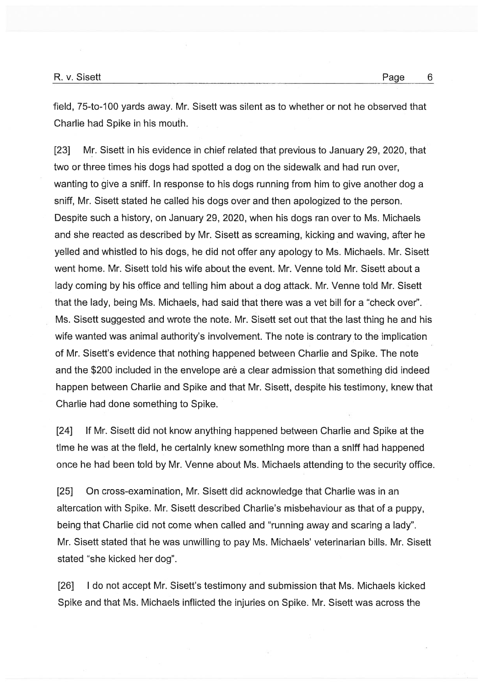field, 75-to-100 yards away. Mr. Sisett was silent as to whether or not he observed that Charlie had Spike in his mouth.

[23] Mr. Sisett in his evidence in chief related that previous to January 29, 2020, that two or three times his dogs had spotted <sup>a</sup> dog on the sidewalk and had run over, wanting to give a sniff. In response to his dogs running from him to give another dog a sniff, Mr. Sisett stated he called his dogs over and then apologized to the person. Despite such <sup>a</sup> history, on January 29, 2020, when his dogs ran over to Ms. Michaels and she reacted as described by Mr. Sisett as screaming, kicking and waving, after he yelled and whistled to his dogs, he did not offer any apology to Ms. Michaels. Mr. Sisett went home. Mr. Sisett told his wife about the event. Mr. Venne told Mr. Sisett about <sup>a</sup> lady coming by his office and telling him about <sup>a</sup> dog attack. Mr. Venne told Mr. Sisett that the lady, being Ms. Michaels, had said that there was <sup>a</sup> vet bill for <sup>a</sup> "check over'. Ms. Sisett suggested and wrote the note. Mr. Sisett set out that the last thing he and his wife wanted was animal authority's involvement. The note is contrary to the implication of Mr. Sisett's evidence that nothing happened between Charlie and Spike. The note and the \$200 included in the envelope are a clear admission that something did indeed happen between Charlie and Spike and that Mr. Sisett, despite his testimony, knew that Charlie had done something to Spike.

[24] If Mr. Sisett did not know anything happened between Charlie and Spike at the time he was at the field, he certainly knew something more than a sniff had happened once he had been told by Mr. Venne about Ms. Michaels attending to the security office.

[25] On cross-examination, Mr. Sisett did acknowledge that Charlie was in an altercation with Spike. Mr. Sisett described Charlie's misbehaviour as that of <sup>a</sup> puppy, being that Charlie did not come when called and "running away and scaring <sup>a</sup> lady". Mr. Sisett stated that he was unwilling to pay Ms. Michaels' veterinarian bills. Mr. Sisett stated "she kicked her dog".

[26] I do not accep<sup>t</sup> Mr. Sisett's testimony and submission that Ms. Michaels kicked Spike and that Ms. Michaels inflicted the injuries on Spike. Mr. Sisett was across the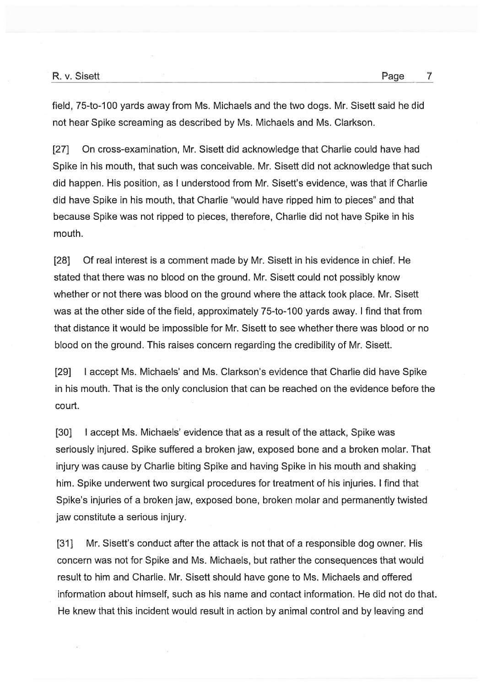field, 75-to-100 yards away from Ms. Michaels and the two dogs. Mr. Sisett said he did not hear Spike screaming as described by Ms. Michaels and Ms. Clarkson.

[27] On cross-examination, Mr. Sisett did acknowledge that Charlie could have had Spike in his mouth, that such was conceivable. Mr. Sisett did not acknowledge that such did happen. His position, as I understood from Mr. Sisett's evidence, was that if Charlie did have Spike in his mouth, that Charlie "would have ripped him to pieces" and that because Spike was not ripped to pieces, therefore, Charlie did not have Spike in his mouth.

[28] Of real interest is a comment made by Mr. Sisett in his evidence in chief. He stated that there was no blood on the ground. Mr. Sisett could not possibly know whether or not there was blood on the ground where the attack took place. Mr. Sisett was at the other side of the field, approximately 75-to-100 yards away. I find that from that distance it would be impossible for Mr. Sisett to see whether there was blood or no blood on the ground. This raises concern regarding the credibility of Mr. Sisett.

[29] I accep<sup>t</sup> Ms. Michaels' and Ms. Clarkson's evidence that Charlie did have Spike in his mouth. That is the only conclusion that can be reached on the evidence before the court.

[30] I accep<sup>t</sup> Ms. Michaels' evidence that as <sup>a</sup> result of the attack, Spike was seriously injured. Spike suffered <sup>a</sup> broken jaw, exposed bone and <sup>a</sup> broken molar. That injury was cause by Charlie biting Spike and having Spike in his mouth and shaking him. Spike underwent two surgical procedures for treatment of his injuries. I find that Spike's injuries of <sup>a</sup> broken jaw, exposed bone, broken molar and permanently twisted jaw constitute <sup>a</sup> serious injury.

[31] Mr. Sisett's conduct after the attack is not that of a responsible dog owner. His concern was not for Spike and Ms. Michaels, but rather the consequences that would result to him and Charlie. Mr. Sisett should have gone to Ms. Michaels and offered information about himself, such as his name and contact information. He did not do that. He knew that this incident would result in action by animal control and by leaving and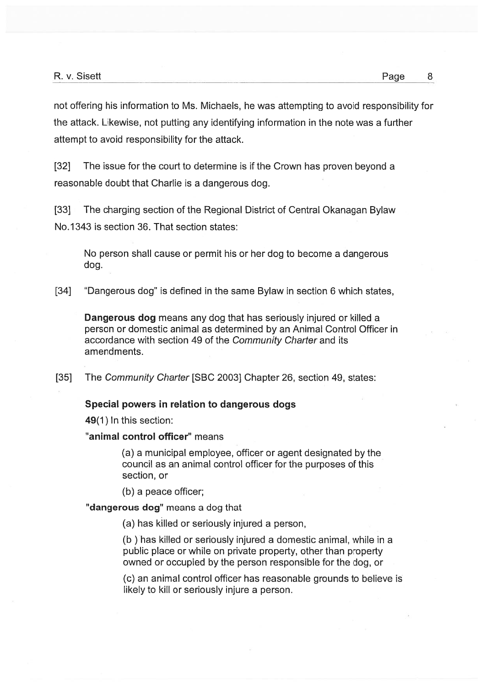not offering his information to Ms. Michaels, he was attempting to avoid responsibility for the attack. Likewise, not putting any identifying information in the note was <sup>a</sup> further attempt to avoid responsibility for the attack.

[32] The issue for the court to determine is if the Crown has proven beyond <sup>a</sup> reasonable doubt that Charlie is <sup>a</sup> dangerous dog.

[33] The charging section of the Regional District of Central Okanagan Bylaw No.1343 is section 36. That section states:

No person shall cause or permit his or her dog to become <sup>a</sup> dangerous dog.

[34] "Dangerous dog" is defined in the same Bylaw in section 6 which states,

Dangerous dog means any dog that has seriously injured or killed a person or domestic animal as determined by an Animal Control Officer in accordance with section 49 of the Community Charter and its amendments.

[35] The Community Charter [SBC 2003] Chapter 26, section 49, states:

## Special powers in relation to dangerous dogs

49(1) In this section:

"animal control officer" means

(a) <sup>a</sup> municipal employee, officer or agen<sup>t</sup> designated by the council as an animal control officer for the purposes of this section, or

(b) <sup>a</sup> peace officer;

"dangerous dog" means a dog that

(a) has killed or seriously injured <sup>a</sup> person,

(b ) has killed or seriously injured <sup>a</sup> domestic animal, while in <sup>a</sup> public place or while on private property, other than property owned or occupied by the person responsible for the dog, or

(c) an animal control officer has reasonable grounds to believe is likely to kill or seriously injure <sup>a</sup> person.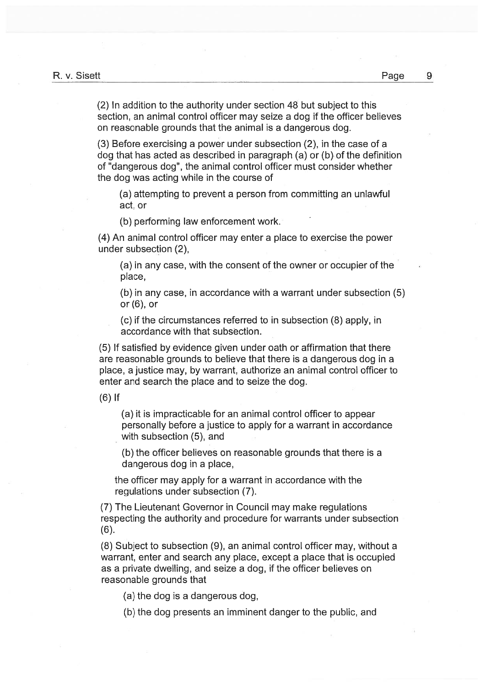(2) In addition to the authority under section 48 but subject to this section, an animal control officer may seize <sup>a</sup> dog if the officer believes on reasonable grounds that the animal is <sup>a</sup> dangerous dog.

(3) Before exercising <sup>a</sup> power under subsection (2), in the case of <sup>a</sup> dog that has acted as described in paragraph (a) or (b) of the definition of "dangerous dog", the animal control officer must consider whether the dog was acting while in the course of

(a) attempting to preven<sup>t</sup> <sup>a</sup> person from committing an unlawful act, or

(b) performing law enforcement work.

(4) An animal control officer may enter <sup>a</sup> place to exercise the power under subsection (2),

(a) in any case, with the consent of the owner or occupier of the place,

(b) in any case, in accordance with <sup>a</sup> warrant under subsection (5) or (6), or

(c) if the circumstances referred to in subsection (8) apply, in accordance with that subsection.

(5) If satisfied by evidence given under oath or affirmation that there are reasonable grounds to believe that there is <sup>a</sup> dangerous dog in <sup>a</sup> place, <sup>a</sup> justice may, by warrant, authorize an animal control officer to enter and search the place and to seize the dog.

(6) If

(a) it is impracticable for an animal control officer to appear personally before <sup>a</sup> justice to apply for <sup>a</sup> warrant in accordance with subsection (5), and

(b) the officer believes on reasonable grounds that there is <sup>a</sup> dangerous dog in <sup>a</sup> place,

the officer may apply for <sup>a</sup> warrant in accordance with the regulations under subsection (7).

(7) The Lieutenant Governor in Council may make regulations respecting the authority and procedure for warrants under subsection (6).

(8) Subject to subsection (9), an animal control officer may, without <sup>a</sup> warrant, enter and search any place, excep<sup>t</sup> <sup>a</sup> place that is occupied as <sup>a</sup> private dwelling, and seize <sup>a</sup> dog, if the officer believes on reasonable grounds that

(a) the dog is <sup>a</sup> dangerous dog,

(b) the dog presents an imminent danger to the public, and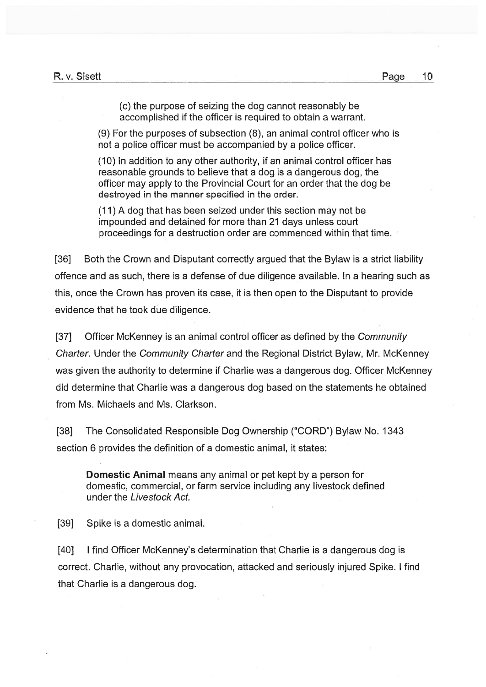(c) the purpose of seizing the dog cannot reasonably be accomplished if the officer is required to obtain <sup>a</sup> warrant.

(9) For the purposes of subsection (8), an animal control officer who is not <sup>a</sup> police officer must be accompanied by <sup>a</sup> police officer.

(10) In addition to any other authority, if an animal control officer has reasonable grounds to believe that <sup>a</sup> dog is <sup>a</sup> dangerous dog, the officer may apply to the Provincial Court for an order that the dog be destroyed in the manner specified in the order.

(11) A dog that has been seized under this section may not be impounded and detained for more than 21 days unless court proceedings for <sup>a</sup> destruction order are commenced within that time.

[36] Both the Crown and Disputant correctly argued that the Bylaw is <sup>a</sup> strict liability offence and as such, there is <sup>a</sup> defense of due diligence available. In <sup>a</sup> hearing such as this, once the Crown has proven its case, it is then open to the Disputant to provide evidence that he took due diligence.

[37] Officer McKenney is an animal control officer as defined by the Community Charter. Under the Community Charter and the Regional District Bylaw, Mr. McKenney was given the authority to determine if Charlie was <sup>a</sup> dangerous dog. Officer McKenney did determine that Charlie was <sup>a</sup> dangerous dog based on the statements he obtained from Ms. Michaeis and Ms. Clarkson.

[38] The Consolidated Responsible Dog Ownership ("CORD") Bylaw No. 1343 section 6 provides the definition of <sup>a</sup> domestic animal, it states:

Domestic Animal means any animal or pe<sup>t</sup> kept by <sup>a</sup> person for domestic, commercial, or farm service including any livestock defined under the Livestock Act.

[39] Spike is a domestic animal.

[40] I find Officer McKenney's determination that Charlie is a dangerous dog is correct. Charlie, without any provocation, attacked and seriously injured Spike. I find that Charlie is <sup>a</sup> dangerous dog.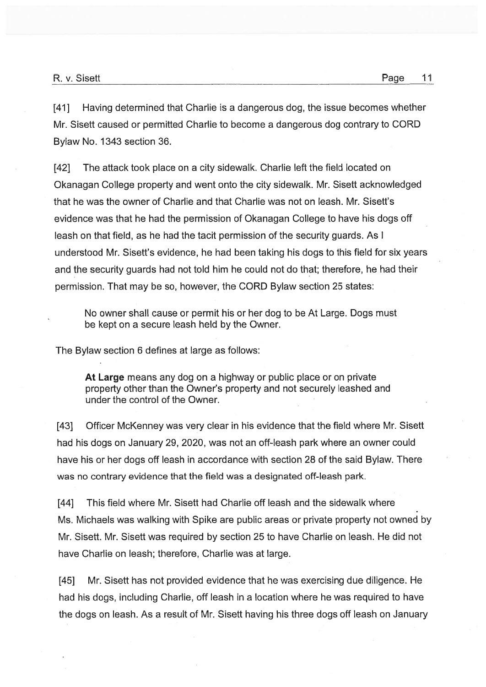[41] Having determined that Charlie is <sup>a</sup> dangerous dog, the issue becomes whether Mr. Sisett caused or permitted Charlie to become <sup>a</sup> dangerous dog contrary to CORD Bylaw No. 1343 section 36.

[42] The attack took place on <sup>a</sup> city sidewalk. Charlie left the field located on Okanagan College property and went onto the city sidewalk. Mr. Sisett acknowledged that he was the owner of Charlie and that Charlie was not on leash. Mr. Sisett's evidence was that he had the permission of Okanagan College to have his dogs off leash on that field, as he had the tacit permission of the security guards. As I understood Mr. Sisett's evidence, he had been taking his dogs to this field for six years and the security guards had not told him he could not do that; therefore, he had their permission. That may be so, however, the CORD Bylaw section 25 states:

No owner shall cause or permit his or her dog to be At Large. Dogs must be kept on <sup>a</sup> secure leash held by the Owner.

The Bylaw section 6 defines at large as follows:

At Large means any dog on <sup>a</sup> highway or public place or on private property other than the Owner's property and not securely leashed and under the control of the Owner.

[43] Officer McKenney was very clear in his evidence that the field where Mr. Sisett had his dogs on January 29, 2020, was not an off-leash park where an owner could have his or her dogs off leash in accordance with section 28 of the said Bylaw. There was no contrary evidence that the field was <sup>a</sup> designated off-leash park.

[44] This field where Mr. Sisett had Charlie off leash and the sidewalk where Ms. Michaels was walking with Spike are public areas or private property not owned by Mr. Sisett. Mr. Sisett was required by section 25 to have Charlie on leash. He did not have Charlie on leash; therefore, Charlie was at large.

[45] Mr. Sisett has not provided evidence that he was exercising due diligence. He had his dogs, including Charlie, off leash in <sup>a</sup> location where he was required to have the dogs on leash. As <sup>a</sup> result of Mr. Sisett having his three dogs off leash on January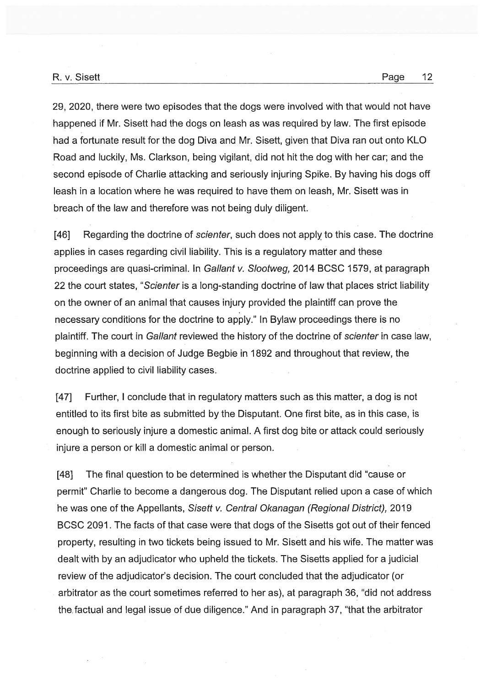29, 2020, there were two episodes that the dogs were involved with that would not have happened if Mr. Sisett had the dogs on leash as was required by law. The first episode had <sup>a</sup> fortunate result for the dog Diva and Mr. Sisett, given that Diva ran out onto KLO Road and luckily, Ms. Clarkson, being vigilant, did not hit the dog with her car; and the second episode of Charlie attacking and seriously injuring Spike. By having his dogs off leash in <sup>a</sup> location where he was required to have them on leash, Mr. Sisett was in breach of the law and therefore was not being duly diligent.

[46] Regarding the doctrine of *scienter*, such does not apply to this case. The doctrine applies in cases regarding civil liability. This is <sup>a</sup> regulatory matter and these proceedings are quasi-criminal. In Gallant v. Slootweg, 2014 BCSC 1579, at paragraph 22 the court states, "Scienter is a long-standing doctrine of law that places strict liability on the owner of an animal that causes injury provided the plaintiff can prove the necessary conditions for the doctrine to apply." In Bylaw proceedings there is no plaintiff. The court in Gallant reviewed the history of the doctrine of scienter in case law, beginning with <sup>a</sup> decision of Judge Begbie in 1892 and throughout that review, the doctrine applied to civil liability cases.

[47] Further, I conclude that in regulatory matters such as this matter, a dog is not entitled to its first bite as submitted by the Disputant. One first bite, as in this case, is enough to seriously injure <sup>a</sup> domestic animal. A first dog bite or attack could seriously injure <sup>a</sup> person or kill <sup>a</sup> domestic animal or person.

[48] The final question to be determined is whether the Disputant did "cause or permit" Charlie to become <sup>a</sup> dangerous dog. The Disputant relied upon <sup>a</sup> case of which he was one of the Appellants, Sisett v. Central Okanagan (Regional District), 2019 BCSC 2091. The facts of that case were that dogs of the Sisetts go<sup>t</sup> out of their fenced property, resulting in two tickets being issued to Mr. Sisett and his wife. The matter was dealt with by an adjudicator who upheld the tickets. The Sisetts applied for <sup>a</sup> judicial review of the adjudicator's decision. The court concluded that the adjudicator (or arbitrator as the court sometimes referred to her as), at paragraph 36, "did not address the factual and legal issue of due diligence." And in paragraph 37, "that the arbitrator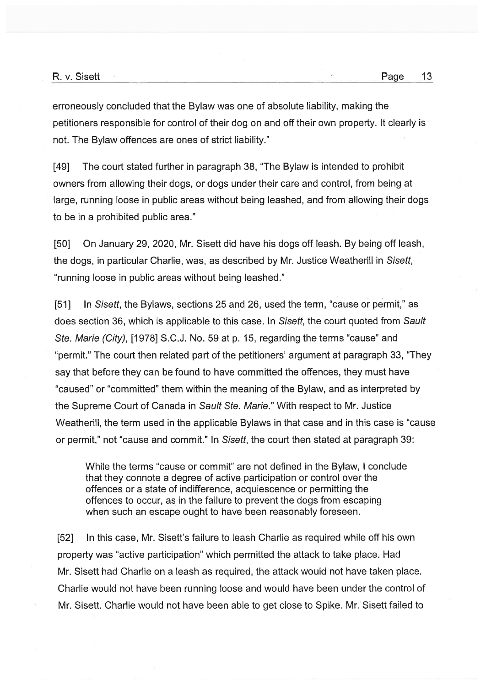erroneously concluded that the Bylaw was one of absolute liability, making the petitioners responsible for control of their dog on and off their own property. It clearly is not. The Bylaw offences are ones of strict liability."

[49] The court stated further in paragraph 38, "The Bylaw is intended to prohibit owners from allowing their dogs, or dogs under their care and control, from being at large, running loose in public areas without being leashed, and from allowing their dogs to be in <sup>a</sup> prohibited public area."

[50] On January 29, 2020, Mr. Sisett did have his dogs off leash. By being off leash, the dogs, in particular Charlie, was, as described by Mr. Justice Weatherill in Sisett, "running loose in public areas without being leashed."

[51] In Sisett, the Bylaws, sections 25 and 26, used the term, "cause or permit," as does section 36, which is applicable to this case. In Sisett, the court quoted from Sault Ste. Marie (City), [1978] S.C.J. No. <sup>59</sup> at p. 15, regarding the terms "cause" and "permit." The court then related par<sup>t</sup> of the petitioners' argumen<sup>t</sup> at paragraph 33, "They say that before they can be found to have committed the offences, they must have "caused" or "committed" them within the meaning of the Bylaw, and as interpreted by the Supreme Court of Canada in Sault Ste. Marie." With respec<sup>t</sup> to Mr. Justice Weatherill, the term used in the applicable Bylaws in that case and in this case is "cause or permit," not "cause and commit." In Sisett, the court then stated at paragraph 39:

While the terms "cause or commit" are not defined in the Bylaw, I conclude that they connote <sup>a</sup> degree of active participation or control over the offences or <sup>a</sup> state of indifference, acquiescence or permitting the offences to occur, as in the failure to preven<sup>t</sup> the dogs from escaping when such an escape ought to have been reasonably foreseen.

[52] In this case, Mr. Sisett's failure to leash Charlie as required while off his own property was "active participation" which permitted the attack to take place. Had Mr. Sisett had Charlie on <sup>a</sup> leash as required, the attack would not have taken place. Charlie would not have been running loose and would have been under the control of Mr. Sisett. Charlie would not have been able to ge<sup>t</sup> close to Spike. Mr. Sisett failed to